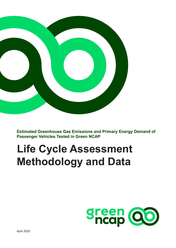

**Estimated Greenhouse Gas Emissions and Primary Energy Demand of Passenger Vehicles Tested in Green NCAP**

# **Life Cycle Assessment Methodology and Data**

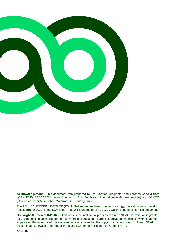

**Acknowledgement** - This document was prepared by Dr. Gerfried Jungmeier and Lorenza Canella from JOANNEUM RESEARCH under Contract of FIA (Fédération Internationale de l'Automobile) and ÖAMTC (Österreichischer Automobil-, Motorrad- und Touring Club).

The PAUL SCHERRER INSTITUTE (PSI) in Switzerland reviewed the methodology, basic data and some draft results [Bauer 2022] of the LCA Expert Tool 2.1 [Jungmeier et al. 2022], Which is the basis for this document.

**Copyright © Green NCAP 2022** - This work is the intellectual property of Green NCAP. Permission is granted for this material to be shared for non-commercial, educational purposes, provided that this copyright statement appears on the reproduced materials and notice is given that the copying is by permission of Green NCAP. To disseminate otherwise or to republish requires written permission from Green NCAP.

April 2022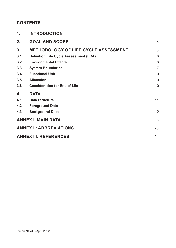# **CONTENTS**

| $\mathbf 1$ . | <b>INTRODUCTION</b>                           | $\overline{4}$  |
|---------------|-----------------------------------------------|-----------------|
| 2.            | <b>GOAL AND SCOPE</b>                         | 5               |
| 3.            | <b>METHODOLOGY OF LIFE CYCLE ASSESSMENT</b>   | 6               |
| 3.1.          | <b>Definition Life Cycle Assessment (LCA)</b> | 6               |
| 3.2.          | <b>Environmental Effects</b>                  | $6\phantom{1}6$ |
| 3.3.          | <b>System Boundaries</b>                      | $\overline{7}$  |
| 3.4.          | <b>Functional Unit</b>                        | 9               |
| 3.5.          | <b>Allocation</b>                             | 9               |
| 3.6.          | <b>Consideration for End of Life</b>          | 10              |
| 4.            | <b>DATA</b>                                   | 11              |
| 4.1.          | <b>Data Structure</b>                         | 11              |
| 4.2.          | <b>Foreground Data</b>                        | 11              |
| 4.3.          | <b>Background Data</b>                        | 12              |
|               | <b>ANNEX I: MAIN DATA</b>                     | 15              |
|               | <b>ANNEX II: ABBREVIATIONS</b>                | 23              |
|               | <b>ANNEX III: REFERENCES</b>                  | 24              |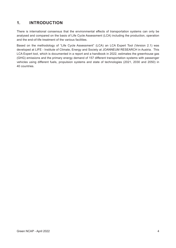# <span id="page-3-0"></span>**1. INTRODUCTION**

There is international consensus that the environmental effects of transportation systems can only be analysed and compared on the basis of Life Cycle Assessment (LCA) including the production, operation and the end-of-life treatment of the various facilities.

Based on the methodology of "Life Cycle Assessment" (LCA) an LCA Expert Tool (Version 2.1) was developed at LIFE - Institute of Climate, Energy and Society at JOANNEUM RESEARCH in Austria. This LCA Expert tool, which is documented in a report and a handbook in 2022, estimates the greenhouse gas (GHG) emissions and the primary energy demand of 157 different transportation systems with passenger vehicles using different fuels, propulsion systems and state of technologies (2021, 2030 and 2050) in 40 countries.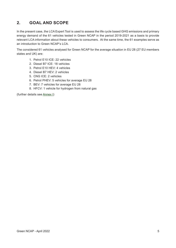# <span id="page-4-0"></span>**2. GOAL AND SCOPE**

In the present case, the LCA Expert Tool is used to assess the life cycle based GHG emissions and primary energy demand of the 61 vehicles tested in Green NCAP in the period 2019-2021 as a basis to provide relevant LCA information about these vehicles to consumers. At the same time, the 61 examples serve as an introduction to Green NCAP's LCA.

The considered 61 vehicles analysed for Green NCAP for the average situation in EU 28 (27 EU members states and UK) are:

- 1. Petrol E10 ICE: 22 vehicles
- 2. Diesel B7 ICE: 18 vehicles
- 3. Petrol E10 HEV: 4 vehicles
- 4. Diesel B7 HEV: 2 vehicles
- 5. CNG ICE: 2 vehicles
- 6. Petrol PHEV: 5 vehicles for average EU 28
- 7. BEV: 7 vehicles for average EU 28
- 8. HFCV: 1 vehicle for hydrogen from natural gas

(further details see [Annex I](#page-14-1))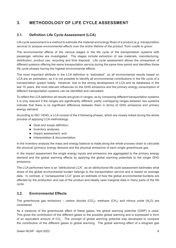# <span id="page-5-0"></span>**3. METHODOLOGY OF LIFE CYCLE ASSESSMENT**

## **3.1. Definition Life Cycle Assessment (LCA)**

*Life cycle assessment is a method to estimate the material and energy flows of a product (e.g. transportation service) to analyse environmental effects over the entire lifetime of the product 'from cradle to grave'.*

The environmental effects of the various stages in the life cycle of the transportation systems with passenger vehicles are investigated. The stages include extraction of raw materials, manufacturing, distribution, product use, recycling and final disposal. Life cycle assessment allows the comparison of different systems offering the same transportation service during the same time period and identifies those life cycle phases having the highest environmental effects.

The most important attribute in the LCA definition is "estimated", so all environmental results based on LCA are an estimation, as it is not possible to identify all environmental contributions in the life cycle of a transportation system totally. However, due to the strong development of LCA and its databases in the last 15 years, the most relevant influences on the GHG emissions and the primary energy consumption of different transportation systems can be identified and calculated.

To reflect the LCA definition all results are given in ranges; as by comparing different transportation systems it is only relevant if the ranges are significantly different; partly overlapping ranges between two systems indicate that there is no significant difference between them in terms of GHG emissions and primary energy demand.

According to ISO 14040, a LCA consist of the 4 following phases, which are closely linked during the whole process of applying LCA methodology:

- Goal and scope definition,
- $\blacksquare$  Inventory analyses,
- **Impact assessment, and**
- **Interpretation & documentation.**

In the inventory analysis the mass and energy balance is made along the whole process chain to calculate the physical (primary) energy demand and the physical emissions of each single greenhouse gas.

In the impact assessment the single energy inputs and emissions are aggregated to the primary energy demand and the global warming effects by applying the global warming potentials to the single GHG emissions.

The LCA performed here is an "attributional LCA", as an attributional life cycle assessment estimates what share of the global environmental burden belongs to the transportation service and is based on average data. In contrast, a "consequential LCA" gives an estimate of how the global environmental burdens are affected by the production and use of the product and ideally uses marginal data in many parts of the life cycle.

#### **3.2. Environmental Effects**

The greenhouse gas emissions – carbon dioxide (CO<sub>2</sub>), methane (CH<sub>4</sub>) and nitrous oxide (N<sub>2</sub>O) are considered.

As a measure of the greenhouse effect of these gases, the global warming potential (GWP) is used. This gives the contribution of the different gases to the possible global warming and is expressed in form of an equivalent amount of CO<sub>2</sub>. The concept of global warming potential was developed to compare the contribution of the different gases to global warming. The global warming effect of a kilogram gas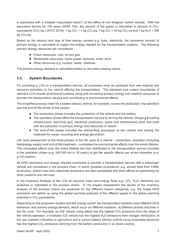<span id="page-6-0"></span>is expressed with a multiple ("equivalent factor") of the effect of one kilogram carbon dioxide. With the equivalent factors for 100 years (GWP 100), the amount of the gases is calculated to amount of  $CO<sub>2</sub>$ equivalents (CO<sub>2</sub>-eq.) (IPCC 2019): 1 kg CO<sub>2</sub> = 1 kg CO<sub>2</sub>-eq, 1 kg CH<sub>4</sub> = 34 kg CO<sub>2</sub>-eq and 1 kg N<sub>2</sub>O = 298 kg CO<sub>2</sub>-eq.

Based on the amount and type of final energy carriers e.g. fuels, electricity, the necessary amount of primary energy is calculated to supply the energy needed for the transportation systems. The following primary energy resources are considered:

- Fossil resources: coal, oil and gas,
- Renewable resources: hydro power, biomass, solar, wind
- Other resources e.g. nuclear, waste, residues.

The primary energy demand is calculated based on the lower heating values.

## **3.3. System Boundaries**

For providing a LCA on a transportation service, all processes must be analysed from raw material and resource extraction to the vehicle offering the transportation. The elements and system boundaries of vehicle's LCA include all technical systems using and converting primary energy and material resources to provide the transportation service and contributing to environmental effects.

The simplified process chain for a battery electric vehicle, for example, covers the production, the operation and the end-of-life phase of the system:

- The production phase includes the production of the vehicle and the battery.
- **The operation phase offers the transportation service by driving the vehicle, charging & fuelling** infrastructure, electricity grid, electricity production, spare and maintenance parts and ends with the extraction of primary energy and resources in nature.
- **The end-of-life phase included the dismantling processes of the vehicle and sorting the** materials for reuse, recycling and energy generation.

Life cycle assessment of the three phases in the life cycle of a vehicle – production, operation (including fuel/energy supply) and end of life treatment – cumulates the environmental effects over the whole lifetime. The cumulated effects over the entire lifetime are then distributed to the transportation service provided in the operation phase (e.g. 240,000 km in 16 years) to get the specific effects per driven kilometre (e.g. g  $CO<sub>2</sub>$ -eq/km).

All GHG emissions and energy relevant processes to provide a transportation service with a passenger vehicle are considered in the process chain, in which possible co-products, e.g. animal feed from FAME production, district heat from electricity production are also considered with their effects of substituting for other products and services.

In the Inventory Analysis of the LCA all physical mass and energy flows e.g.  $CO<sub>2</sub>$ , N<sub>2</sub>O, electricity are analysed or estimated in the process chains. In the Impact Assessment the results of the inventory analysis of the process chains are assessed for the different impact categories, e.g. the single GHG emissions are added up using the global warming potential of the different gases to the global warming potential in  $CO<sub>2</sub>$ -equivalents.

Depending on the propulsion system and the energy carrier, the transportation systems have different GHG emissions and primary energy demand, which occur on different locations, at different phases and time in the life cycle. For example: an ICE vehicle using diesel has the highest CO<sub>2</sub>-emissions from the stack of the vehicle operation, a biodiesel ICE vehicle has the highest N<sub>2</sub>O-emissions from nitrogen fertilization of the raw material cultivation in agriculture and a current battery electric vehicle using renewable electricity has the highest  $CO<sub>2</sub>$ -emissions deriving from the battery production in an Asian country.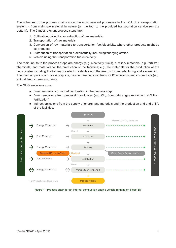The schemes of the process chains show the most relevant processes in the LCA of a transportation system – from main raw material in nature (on the top) to the provided transportation service (on the bottom). The 5 most relevant process steps are:

- 1. Cultivation, collection or extraction of raw materials
- 2. Transportation of raw materials
- 3. Conversion of raw materials to transportation fuel/electricity, where other products might be co-produced
- 4. Distribution of transportation fuel/electricity incl. filling/charging station
- 5. Vehicle using the transportation fuel/electricity.

The main inputs to the process steps are energy (e.g. electricity, fuels), auxiliary materials (e.g. fertilizer, chemicals) and materials for the production of the facilities; e.g. the materials for the production of the vehicle also including the battery for electric vehicles and the energy for manufacturing and assembling. The main outputs of a process step are, beside transportation fuels, GHG emissions and co-products (e.g. animal feed, chemicals, heat).

The GHG emissions cover:

- Direct emissions from fuel combustion in the process step
- Direct emissions from processing or losses (e.g.  $CH<sub>4</sub>$  from natural gas extraction, N<sub>2</sub>O from fertilization)
- Indirect emissions from the supply of energy and materials and the production and end of life of the facilities.



Figure 1 - Process chain for an internal combustion engine vehicle running on diesel B7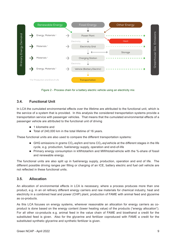<span id="page-8-0"></span>

Figure 2 - Process chain for a battery electric vehicle using an electricity mix

# **3.4. Functional Unit**

In LCA the cumulated environmental effects over the lifetime are attributed to the functional unit, which is the service of a system that is provided. In this analysis the considered transportation systems provide a transportation service with passenger vehicles. That means that the cumulated environmental effects of a passenger vehicle are attributed to the functional unit of driving

- 1 kilometre and
- Total of 240,000 km in the total lifetime of 16 years.

These functional units are also used to compare the different transportation systems:

- **GHG** emissions in grams  $CO<sub>2</sub>-eq/km$  and tons  $CO<sub>2</sub>-eq/vehicle$  at the different stages in the life cycle, e.g. production, fuel/energy supply, operation and end-of-life
- Primary energy consumption in kWhtotal/km and MWhtotal/vehicle with the %-share of fossil and renewable energy.

The functional units are also split up in fuel/energy supply, production, operation and end of life. The different possible driving ranges per filling or charging of an ICE, battery electric and fuel cell vehicle are not reflected in these functional units.

#### **3.5. Allocation**

An allocation of environmental effects in LCA is necessary, where a process produces more than one product, e.g. in an oil refinery different energy carriers and raw materials for chemical industry, heat and electricity in a combined heat and power (CHP) plant, production of FAME with animal feed and glycerine as co-products.

As this LCA focuses on energy systems, wherever reasonable an allocation for energy carriers as coproduct is done based on the energy content (lower heating value) of the products ("energy allocation"). For all other co-products e.g. animal feed in the value chain of FAME and bioethanol a credit for the substituted feed is given. Also for the glycerine and fertilizer coproduced with FAME a credit for the substituted synthetic glycerine and synthetic fertilizer is given.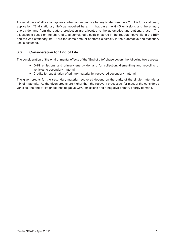<span id="page-9-0"></span>A special case of allocation appears, when an automotive battery is also used in a 2nd life for a stationary application ("2nd stationary life") as modelled here. In that case the GHG emissions and the primary energy demand from the battery production are allocated to the automotive and stationary use. The allocation is based on the share of total cumulated electricity stored in the 1st automotive life in the BEV and the 2nd stationary life. Here the same amount of stored electricity in the automotive and stationary use is assumed.

# **3.6. Consideration for End of Life**

The consideration of the environmental effects of the "End of Life" phase covers the following two aspects:

- GHG emissions and primary energy demand for collection, dismantling and recycling of vehicles to secondary material
- Credits for substitution of primary material by recovered secondary material.

The given credits for the secondary material recovered depend on the purity of the single materials or mix of materials. As the given credits are higher than the recovery processes, for most of the considered vehicles, the end-of-life phase has negative GHG emissions and a negative primary energy demand.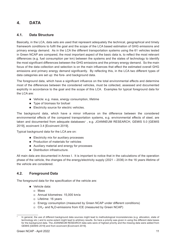# <span id="page-10-0"></span>**4. DATA**

## **4.1. Data Structure**

Basically, in the LCA, data sets are used that represent adequately the technical, geographical and timely framework conditions to fulfil the goal and the scope of the LCA based estimation of GHG emissions and primary energy demand. As in the LCA the different transportation systems using the 61 vehicles tested in Green NCAP are compared, the most important aspect of the basic data is, to reflect the most relevant differences (e.g. fuel consumption per km) between the systems and the states of technology to identify the most significant differences between the GHG emissions and the primary energy demand. So the main focus of the data collection and selection is on the main influences that effect the estimated overall GHG emissions and primary energy demand significantly. By reflecting this, in the LCA two different types of data categories are set up: the fore- and background data.

The foreground data, which have a significant influence on the total environmental effects and determine most of the differences between the considered vehicles, must be collected, assessed and documented explicitly in accordance to the goal and the scope of this LCA. Examples for typical foreground data for the LCA are:

- Vehicle: e.g. mass, energy consumption, lifetime
- Type of biomass for biofuel
- Electricity source for electric vehicles.

The background data, which have a minor influence on the difference between the considered environmental effects of the compared transportation systems, e.g. environmental effects of steel, are taken and documented from adequate databases<sup>1</sup>, e.g. JOANNEUM RESEARCH, GEMIS 5.0 [GEMIS 2019], ecoinvent 3.4 [Ecoinvent 2019].

Typical background data for the LCA are on:

- **Electricity mix for auxiliary processes**
- **Production of materials for vehicles**
- Auxiliary material and energy for processes
- Distribution infrastructure.

All main data are documented in Annex I. It is important to notice that in the calculations of the operation phase of the vehicle, the changes of the energy/electricity supply (2021 – 2036) in the 16 years lifetime of the vehicle are considered.

## **4.2. Foreground Data**

The foreground data for the specification of the vehicle are:

- Vehicle data:
	- Mass
	- Annual kilometres: 15,000 km/a
	- □ Lifetime: 16 years
	- Energy consumption (measured by Green NCAP under different conditions)
	- $\Box$  CH<sub>4</sub>- and N<sub>2</sub>O-emissions from ICE (measured by Green NCAP)

In general, the use of different background data sources might lead to methodological inconsistencies (e.g. allocation, state of technology etc.) and to some extent might lead to arbitrary results. So here a priority was given in using the different data bases for the background data. The JOANNEUM RESEARCH data sets were of highest priority and the missing data were added from GEMIS [GEMIS 2019] and from ecoinvent [Ecoinvent 2019].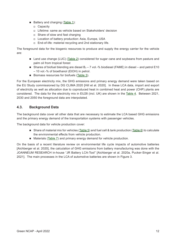- <span id="page-11-0"></span>Battery and charging ([Table 1\)](#page-14-2):
	- □ Capacity
	- Lifetime: same as vehicle based on Stakeholders' decision
	- $\Box$  Share of slow and fast charging
	- □ Location of battery production: Asia, Europe, USA
	- □ End-of-life: material recycling and 2nd stationary life.

The foreground data for the biogenic resources to produce and supply the energy carrier for the vehicle are:

- Land use change (LUC) ([Table 2](#page-14-3)) considered for sugar cane and soybeans from pasture and palm oil from tropical forest
- Shares of biofuel blending are diesel  $B_7 7$  vol.-% biodiesel (FAME) in diesel and petrol E10 – 10 vol.-% of bioethanol (EtOH) in petrol.
- Biomass resources for biofuels ([Table 3](#page-14-4)).

For the European electricity mix, the GHG emissions and primary energy demand were taken based on the EU Study commissioned by DG CLIMA 2020 [Hill et al. 2020]. In these LCA data, import and export of electricity as well as allocation due to coproduced heat in combined heat and power (CHP) plants are considered. The data for the electricity mix in EU28 (incl. UK) are shown in the [Table 4](#page-15-0). Between 2021, 2030 and 2050 the foreground data are interpolated.

## **4.3. Background Data**

The background data cover all other data that are necessary to estimate the LCA based GHG emissions and the primary energy demand of the transportation systems with passenger vehicles.

The background data for vehicle production cover:

- Share of material mix for vehicles ([Table 5\)](#page-15-1) and fuel cell & tank production [\(Table 6](#page-16-0)) to calculate the environmental effects from vehicle production.
- Materials ([Table 7](#page-16-1)) and primary energy demand for vehicle production.

On the basis of a recent literature review on environmental life cycle impacts of automotive batteries [Aichberger et al. 2020], the calculation of GHG emissions from battery manufacturing was done with the JOANNEUM RESEARCH in-house "JR Battery LCA-Tool" [Aichberger et al. 2020a, Pucker-Singer et al. 2021]. The main processes in the LCA of automotive batteries are shown in Figure 3.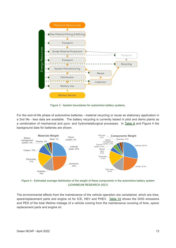

Figure 3 - System boundaries for automotive battery systems.

For the end-of-life phase of automotive batteries - material recycling or reuse as stationary application in a 2nd life - less data are available. The battery recycling is currently tested in pilot and demo plants as a combination of mechanical and pyro- and hydrometallurgical processes. In [Table 8](#page-17-0) and Figure 4 the background data for batteries are shown.



Figure 4 - Estimated average distribution of the weight of these components in the automotive battery system [JOANNEUM RESEARCH 2021]

The environmental effects from the maintenance of the vehicle operation are considered, which are tires, spare/replacement parts and engine oil for ICE, HEV and PHEV. [Table 10](#page-17-1) shows the GHG emissions and PED of the total lifetime mileage of a vehicle coming from the maintenance covering of tires, spare/ replacement parts and engine oil.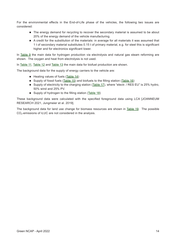For the environmental effects in the End-of-Life phase of the vehicles, the following two issues are considered:

- The energy demand for recycling to recover the secondary material is assumed to be about 20% of the energy demand of the vehicle manufacturing.
- A credit for the substitution of the materials: in average for all materials it was assumed that 1 t of secondary material substitutes 0.15 t of primary material, e.g. for steel this is significant higher and for electronics significant lower.

In [Table 9](#page-17-2) the main data for hydrogen production via electrolysis and natural gas steam reforming are shown. The oxygen and heat from electrolysis is not used.

In [Table 11,](#page-18-0) [Table 12](#page-18-1) and [Table 13](#page-19-0) the main data for biofuel production are shown.

The background data for the supply of energy carriers to the vehicle are:

- $\blacksquare$  Heating values of fuels ([Table 14](#page-19-1))
- Supply of fossil fuels ([Table 15](#page-19-2)) and biofuels to the filling station ([Table 16](#page-20-0))
- Supply of electricity to the charging station [\(Table 17](#page-20-1)), where "electr. / RES EU" is 25% hydro, 50% wind and 25% PV.
- Supply of hydrogen to the filling station ([Table 18\)](#page-20-2)

These background data were calculated with the specified foreground data using LCA [JOANNEUM RESEARCH 2021, Jungmeier et al. 2019].

The background data for land use change for biomass resources are shown in [Table 19.](#page-21-0) The possible  $CO<sub>2</sub>$ -emissions of iLUC are not considered in the analysis.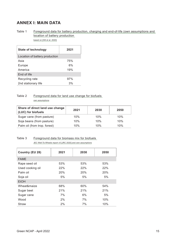# <span id="page-14-1"></span><span id="page-14-0"></span>**ANNEX I: MAIN DATA**

<span id="page-14-2"></span>Table 1 Foreground data for battery production, charging and end-of-life (own assumptions and location of battery production based on [Hill et al. 2020]

| State of technology            | 2021 |
|--------------------------------|------|
| Location of battery production |      |
| Asia                           | 75%  |
| Europe                         | 6%   |
| America                        | 19%  |
| End of life                    |      |
| Recycling rate                 | 97%  |
| 2nd stationary life            | 3%   |

# Table 2 Foreground data for land use change for biofuels

<span id="page-14-3"></span>own assumptions

| Share of direct land use change<br>(LUC) for biofuels | 2021 | 2030 | 2050 |
|-------------------------------------------------------|------|------|------|
| Sugar cane (from pasture)                             | 10%  | 10%  | 10%  |
| Soja beans (from pasture)                             | 10%  | 10%  | 10%  |
| Palm oil (from trop. forest)                          | 10%  | 10%  | 10%  |

# Table 3 Foreground data for biomass mix for biofuels

<span id="page-14-4"></span>JEC Well-To-Wheels report v5 [JRC 2020] and own assumptions

| Country (EU 28)  | 2021 | 2030 | 2050 |
|------------------|------|------|------|
| <b>FAME</b>      |      |      |      |
| Rape seed oil    | 53%  | 53%  | 53%  |
| Used cooking oil | 22%  | 22%  | 22%  |
| Palm oil         | 20%  | 20%  | 20%  |
| Soja oil         | 5%   | 5%   | 5%   |
| <b>EtOH</b>      |      |      |      |
| Wheat&maize      | 68%  | 60%  | 54%  |
| Sugar beet       | 21%  | 21%  | 21%  |
| Sugar cane       | 7%   | 6%   | 5%   |
| Wood             | 2%   | 7%   | 10%  |
| <b>Straw</b>     | 2%   | 7%   | 10%  |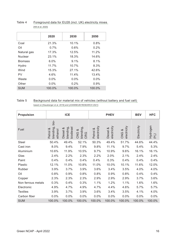|                | 2020     | 2030     | 2050    |
|----------------|----------|----------|---------|
| Coal           | 21.3%    | 10.1%    | 0.8%    |
| Oil            | $0.7\%$  | $0.6\%$  | $0.2\%$ |
| Natural gas    | 17.3%    | 12.5%    | 11.2%   |
| Nuclear        | 23.1%    | 18.3%    | 14.6%   |
| <b>Biomass</b> | $6.0\%$  | $9.1\%$  | 8.1%    |
| Hydro          | $11.7\%$ | $10.7\%$ | 8.3%    |
| Wind           | 15.3%    | $27.1\%$ | 42.6%   |
| PV             | 4.6%     | 11.4%    | 13.4%   |
| Waste          | $0.0\%$  | $0.0\%$  | $0.0\%$ |
| Other          | $0.0\%$  | $0.2\%$  | 0.9%    |
| <b>SUM</b>     | 100.0%   | 100.0%   | 100.0%  |
|                |          |          |         |

#### <span id="page-15-0"></span>Table 4 Foreground data for EU28 (incl. UK) electricity mixes [Hill et al. 2020]

## Table 5 Background data for material mix of vehicles (without battery and fuel cell)

| <b>Propulsion</b>  |                                             | <b>ICE</b>                         |                                                          |                         | <b>PHEV</b>             |                      | <b>BEV</b>  | <b>HFC</b>          |
|--------------------|---------------------------------------------|------------------------------------|----------------------------------------------------------|-------------------------|-------------------------|----------------------|-------------|---------------------|
| Fuel               | bio-<br>blending,<br>య<br>ethanol<br>Petrol | blending,<br>biodiesel<br>Diesel & | blending<br>CNG &<br>O<br>$\overline{\alpha}$<br>$\circ$ | electricity<br>Petrol & | electricity<br>Diesel & | electricity<br>CNG & | Electricity | Hydrogen<br>$(H_2)$ |
| Steel              | 50.4%                                       | 49.4%                              | 52.1%                                                    | 50.3%                   | 49.4%                   | 51.7%                | 44.6%       | 44.4%               |
| Cast iron          | 8.0%                                        | 9.4%                               | 7.9%                                                     | 9.8%                    | 11.1%                   | 9.7%                 | 5.4%        | 5.3%                |
| Aluminium          | 10.6%                                       | 11.9%                              | 10.5%                                                    | 9.7%                    | 10.9%                   | 9.6%                 | 16.1%       | 16.1%               |
| Glas               | 2.4%                                        | 2.2%                               | 2.3%                                                     | 2.2%                    | 2.0%                    | 2.1%                 | 2.4%        | 2.4%                |
| Paint              | 0.4%                                        | 0.4%                               | 0.4%                                                     | 0.4%                    | 0.3%                    | 0.4%                 | 0.4%        | 0.4%                |
| Plastic            | 12.1%                                       | 11.0%                              | 10.8%                                                    | 11.0%                   | 10.0%                   | 10.1%                | 11.6%       | 12.0%               |
| Rubber             | 3.9%                                        | 3.7%                               | 3.9%                                                     | 3.6%                    | 3.4%                    | 3.5%                 | 4.0%        | 4.0%                |
| Oil                | 0.8%                                        | 0.9%                               | 0.8%                                                     | 0.8%                    | 0.9%                    | 0.8%                 | 0.4%        | 0.4%                |
| Copper             | 2.3%                                        | 2.3%                               | 2.3%                                                     | 2.9%                    | 2.9%                    | 2.9%                 | 3.7%        | 3.6%                |
| Non ferrous metals | 0.3%                                        | 0.4%                               | 0.3%                                                     | 1.1%                    | 1.2%                    | 1.1%                 | 1.6%        | 1.6%                |
| Electronic         | 4.9%                                        | 4.7%                               | 4.9%                                                     | 4.7%                    | 4.4%                    | 4.6%                 | 5.7%        | 5.7%                |
| <b>Textiles</b>    | 3.9%                                        | 3.7%                               | 3.9%                                                     | 3.6%                    | 3.4%                    | 3.5%                 | 4.1%        | 4.0%                |
| Carbon fiber       | 0.0%                                        | 0.0%                               | 0.0%                                                     | 0.0%                    | 0.0%                    | 0.0%                 | 0.0%        | 0.0%                |
| <b>SUM</b>         | 100.0%                                      | 100.0%                             | 100.0%                                                   | 100.0%                  | 100.0%                  | 100.0%               | 100.0%      | 100.0%              |

<span id="page-15-1"></span>based on [Hausberger et al. 2019] and [JOANNEUM RESEARCH 2021]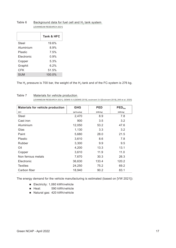|                   | <b>Tank &amp; HFC</b> |
|-------------------|-----------------------|
| Steel             | 19.6%                 |
| Aluminium         | 8.9%                  |
| <b>Plastic</b>    | 7.5%                  |
| <b>Electronic</b> | 0.9%                  |
| Copper            | 5.3%                  |
| Graphit           | $6.2\%$               |
| CFK               | 51.5%                 |
| SUM               | 100.0%                |

#### <span id="page-16-0"></span>Table 6 Background data for fuel cell and  $H_2$  tank system [JOANNEUM RESEARCH 2021]

The  $H_2$  pressure is 700 bar, the weight of the  $H_2$ -tank and of the FC-system is 276 kg.

Table 7 Materials for vehicle production

<span id="page-16-1"></span>[JOANNEUM RESEARCH 2021], GEMIS 5.0 [GEMIS 2019], ecoinvent 3.4 [Ecoinvent 2019], [Hill et al. 2020]

| <b>Materials for vehicle production</b> | <b>GHG</b>      | <b>PED</b> | $\mathsf{PED}_{\mathsf{fos}}$ |
|-----------------------------------------|-----------------|------------|-------------------------------|
| 2021                                    | $[gCO_2$ eq/kg] | [kWh/kg]   | [kWh/kg]                      |
| Steel                                   | 2,470           | 8.9        | 7.8                           |
| Cast iron                               | 900             | 3.5        | 3.2                           |
| Aluminium                               | 12,050          | 53.2       | 47.6                          |
| Glas                                    | 1,130           | 3.3        | 3.2                           |
| Paint                                   | 5,680           | 28.0       | 21.5                          |
| Plastic                                 | 3,610           | 8.6        | 7.8                           |
| Rubber                                  | 3,300           | 9.9        | 9.5                           |
| Oil                                     | 4,200           | 13.3       | 13.1                          |
| Copper                                  | 3,610           | 11.9       | 11.0                          |
| Non ferrous metals                      | 7,670           | 30.3       | 26.3                          |
| Electronic                              | 36,630          | 133.4      | 120.2                         |
| <b>Textiles</b>                         | 24,250          | 75.2       | 69.2                          |
| Carbon fiber                            | 18,940          | 90.2       | 83.1                          |

The energy demand for the vehicle manufacturing is estimated (based on [VW 2021]):

- Electricity: 1,060 kWh/vehicle
- Heat: 590 kWh/vehicle
- Natural gas: 420 kWh/vehicle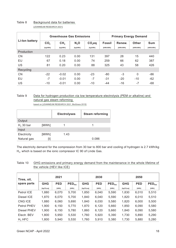|                | <b>Greenhouse Gas Emissions</b> |                 |                  |          | <b>Primary Energy Demand</b> |           |              |            |
|----------------|---------------------------------|-----------------|------------------|----------|------------------------------|-----------|--------------|------------|
| Li-lon battery | CO <sub>2</sub>                 | CH <sub>4</sub> | N <sub>2</sub> O | $CO2$ eq | <b>Fossil</b>                | Renew.    | <b>Other</b> | <b>Sum</b> |
|                | [kg/kWh]                        | [kg/kWh]        | [kg/kWh]         | [kg/kWh] | [kWh/kWh]                    | [kWh/kWh] | [kWh/kWh]    | [kWh/kWh]  |
| Production     |                                 |                 |                  |          |                              |           |              |            |
| <b>CN</b>      | 122                             | 0.23            | 0.00             | 131      | 397                          | 28        | 15           | 440        |
| EU             | 67                              | 0.18            | 0.00             | 74       | 259                          | 66        | 62           | 387        |
| US             | 81                              | 0.20            | 0.00             | 88       | 325                          | 43        | 58           | 426        |
| Recycling      |                                 |                 |                  |          |                              |           |              |            |
| <b>CN</b>      | $-22$                           | $-0.02$         | 0.00             | $-23$    | $-80$                        | $-3$      | 0            | $-86$      |
| EU             | $-7$                            | $-0.01$         | 0.00             | $-7$     | -31                          | $-20$     | $-10$        | $-62$      |
| US             | $-10$                           | $-0.01$         | 0.00             | $-10$    | -44                          | $-16$     | $-7$         | -68        |

### Table 8 Background data for batteries

<span id="page-17-0"></span>[JOANNEUM RESEARCH 2021]

# Table 9 Data for hydrogen production via low temperature electrolysis (PEM or alkaline) and natural gas steam reforming

<span id="page-17-2"></span>based on [JOANNEUM RESEARCH 2021, BioGrace 2015]

|             |       | <b>Electrolyses</b> | <b>Steam reforming</b> |
|-------------|-------|---------------------|------------------------|
| Output      |       |                     |                        |
| $H2$ 30 bar | [MWh] |                     |                        |
| Input       |       |                     |                        |
| Electricity | [MWh] | 1.43                |                        |
| Natural gas | [t]   |                     | 0.086                  |

The electricity demand for the compression from 30 bar to 800 bar and cooling of hydrogen is 2.7 kWh/kg  $H<sub>2</sub>$ , which is based on the ionic compressor IC 90 of Linde Gas.

#### <span id="page-17-1"></span>Table 10 GHG emissions and primary energy demand from the maintenance in the whole lifetime of the vehicle (HEV like ICE)

| Tires, oil,        | 2021         |            |                               | 2030         |            |                               | 2050         |            |                               |
|--------------------|--------------|------------|-------------------------------|--------------|------------|-------------------------------|--------------|------------|-------------------------------|
| spare parts        | <b>GHG</b>   | <b>PED</b> | $\mathsf{PED}_{\mathsf{fos}}$ | <b>GHG</b>   | <b>PED</b> | $\mathsf{PED}_{\mathsf{fos}}$ | <b>GHG</b>   | <b>PED</b> | $\mathsf{PED}_{\mathsf{fos}}$ |
|                    | $[kgCO_2eq]$ | [kWh]      | [kWh]                         | $[kgCO_2eq]$ | [kWh]      | [kWh]                         | $[kgCO_2eq]$ | [kWh]      | [kWh]                         |
| Petrol ICE         | 1,880        | 6,070      | 5,700                         | 1,850        | 6,040      | 5,590                         | 1.830        | 6,010      | 5,510                         |
| Diesel ICE         | 1,870        | 6,070      | 5,700                         | 1,840        | 6,040      | 5,590                         | 1,820        | 6,010      | 5,510                         |
| CNG ICE            | 1,880        | 6,060      | 5,690                         | 1,840        | 6,030      | 5,580                         | 1,820        | 6,000      | 5,500                         |
| Petrol PHEV        | 1,900        | 6,150      | 5,770                         | 1,870        | 6,120      | 5,660                         | 1,850        | 6,090      | 5,580                         |
| Diesel PHEV        | 1,900        | 6,150      | 5,780                         | 1,860        | 6,120      | 5,660                         | 1,840        | 6,090      | 5,580                         |
| Electr. BEV        | 1,800        | 5,950      | 5,530                         | 1,760        | 5,920      | 5,390                         | 1,730        | 5,890      | 5,290                         |
| H <sub>2</sub> HFC | 1,800        | 5.940      | 5,530                         | 1,760        | 5,910      | 5,380                         | 1,730        | 5,880      | 5,280                         |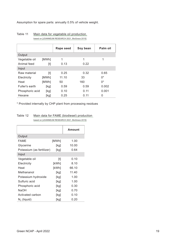Assumption for spare parts: annually 0.5% of vehicle weight.

|                 |       | Rape seed | Soy bean | Palm oil |
|-----------------|-------|-----------|----------|----------|
| Output          |       |           |          |          |
| Vegetable oil   | [MWh] | 1         | 1        | 1        |
| Animal feed     | $[t]$ | 0.13      | 0.22     |          |
| Input           |       |           |          |          |
| Raw material    | $[t]$ | 0.25      | 0.32     | 0.65     |
| Electricity     | [MWh] | 11.10     | 33       | $0^*$    |
| Heat            | [MWh] | 50        | 160      | $0^*$    |
| Fuller's earth  | [kg]  | 0.59      | 0.59     | 0.002    |
| Phosphoric acid | [kg]  | 0.10      | 0.11     | 0.001    |
| Hexane          | [kg]  | 0.25      | 0.11     | 0        |

#### <span id="page-18-0"></span>Table 11 Main data for vegetable oil production based on [JOANNEUM RESEARCH 2021, BioGrace 2015]

\* Provided internally by CHP plant from processing residues

#### <span id="page-18-1"></span>Table 12 Main data for FAME (biodiesel) production based on [JOANNEUM RESEARCH 2021, BioGrace 2015]

|                           |       | <b>Amount</b> |
|---------------------------|-------|---------------|
| Output                    |       |               |
| <b>FAME</b>               | [MWh] | 1.00          |
| Glycerine                 | [kg]  | 10.00         |
| Potassium (as fertilizer) | [kg]  | 0.64          |
| Input                     |       |               |
| Vegetable oil             |       | 0.10          |
| Electricity               | [kWh] | 8.10          |
| Heat                      | [kWh] | 66.10         |
| Methananol                | [kg]  | 11.40         |
| Potassium hydroxide       | [kg]  | 1.00          |
| Sulfuric acid             | [kg]  | 1.00          |
| Phosphoric acid           | [kg]  | 0.30          |
| <b>NaOH</b>               | [kg]  | 0.70          |
| Activated carbon          | [kg]  | 0.10          |
| $N_2$ (liquid)            | [kg]  | 0.20          |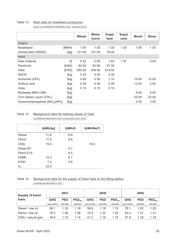#### Table 13 Main data for bioethanol production

<span id="page-19-0"></span>based on [JOANNEUM RESEARCH 2021, BioGrace 2015]

|                                               |       | Wheat  | <b>Maize</b><br>(corn) | <b>Sugar</b><br>beet | <b>Sugar</b><br>cane | Wood  | <b>Straw</b> |
|-----------------------------------------------|-------|--------|------------------------|----------------------|----------------------|-------|--------------|
| Output                                        |       |        |                        |                      |                      |       |              |
| <b>Bioethanol</b>                             | [MWh] | 1.00   | 1.00                   | 1.00                 | 1.00                 | 1.00  | 1.00         |
| Animal feed (DDGS)                            | [kg]  | 131.00 | 121.00                 | 78.00                |                      |       |              |
| Input                                         |       |        |                        |                      |                      |       |              |
| Raw material                                  | [t]   | 0.42   | 0.55                   | 1.62                 | 1.97                 |       | 0.63         |
| Electricity                                   | [kWh] | 64.00  | 62.00                  | 47.00                |                      |       |              |
| Heat                                          | [kWh] | 450.00 | 436.00                 | 614.00               |                      |       |              |
| <b>NaOH</b>                                   | [kg]  | 0.30   | 0.30                   | 0.30                 |                      |       |              |
| Ammonia (25%)                                 | [kg]  | 0.90   | 0.90                   | 1.10                 |                      | 19.00 | 12.00        |
| Sulfuric acid                                 | [kg]  | 0.30   | 0.30                   | 0.40                 |                      | 13.00 | 5.00         |
| Urea                                          | [kg]  | 0.10   | 0.10                   | 0.10                 |                      |       |              |
| Molasses 880% DM)                             | [kg]  |        |                        |                      |                      | 9.00  | 6.00         |
| Corn Steep Liquor (CSL)                       | [kg]  |        |                        |                      |                      | 25.00 | 22.00        |
| Diammoniahosphate $(NH_4)$ , HPO <sub>4</sub> | [kg]  |        |                        |                      |                      | 3.00  | 3.00         |

#### <span id="page-19-1"></span>Table 14 Background data for heating values of fuels [JOANNEUM RESEARCH 2021] comparable to [EU 2018]

|                | [kWh/kg] | [kWh/l] | [ $kWh/Nm3$ ] |
|----------------|----------|---------|---------------|
| <b>Diesel</b>  | 11.8     | 9.8     |               |
| Petrol         | 11.9     | 8.8     |               |
| <b>CNG</b>     | 15.4     |         | 10.0          |
| Diesel B7      |          | 9.7     |               |
| Petrol E10     |          | 8.5     |               |
| <b>FAME</b>    | 10.3     | 9.1     |               |
| <b>EtOH</b>    | 7.4      | 5.8     |               |
| H <sub>2</sub> | 33.3     |         |               |

## <span id="page-19-2"></span>Table 15 Background data for the supply of fossil fuels to the filling station [JOANNEUM RESEARCH 2021]

| <b>Supply of fossil</b> | 2021                      |                  |                               |                           | 2030             |                               | 2050                      |                  |                               |
|-------------------------|---------------------------|------------------|-------------------------------|---------------------------|------------------|-------------------------------|---------------------------|------------------|-------------------------------|
| fuels                   | <b>GHG</b>                | <b>PED</b>       | $\mathsf{PED}_{\mathsf{fos}}$ | <b>GHG</b>                | <b>PED</b>       | $\mathsf{PED}_{\mathsf{fos}}$ | <b>GHG</b>                | <b>PED</b>       | $\mathsf{PED}_{\mathsf{fos}}$ |
|                         | [gCO <sub>2</sub> eq/kWh] | <b>[kWh/kWh]</b> | <b>[kWh/kWh]</b>              | [gCO <sub>2</sub> eq/kWh] | <b>IkWh/kWh1</b> | <b>TkWh/kWh1</b>              | [gCO <sub>2</sub> eq/kWh] | <b>TkWh/kWh1</b> | [kWh/kWh]                     |
| Diesel / raw oil        | 58.1                      | 1.18             | 1.18                          | 58.6                      | 1.18             | 1.18                          | 78.1                      | 1.25             | 1.25                          |
| Petrol / raw oil        | 76.2                      | 1.26             | 1.26                          | 75.3                      | 1.25             | 1.25                          | 93.4                      | 1.31             | 1.31                          |
| CNG / natural gas       | 39.6                      | 1.15             | 1.14                          | 41.3                      | 1.15             | 1.15                          | 57.8                      | 1.18             | 1.18                          |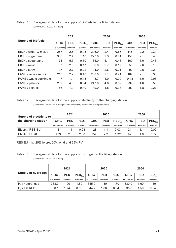#### <span id="page-20-0"></span>Table 16 Background data for the supply of biofuels to the filling station [JOANNEUM RESEARCH 2021]

|                           | 2021                      |            |                               | 2030                      |            |                               | 2050                      |            |                               |
|---------------------------|---------------------------|------------|-------------------------------|---------------------------|------------|-------------------------------|---------------------------|------------|-------------------------------|
| <b>Supply of biofuels</b> | <b>GHG</b>                | <b>PED</b> | $\mathsf{PED}_{\mathsf{fos}}$ | <b>GHG</b>                | <b>PED</b> | $\mathsf{PED}_{\mathsf{fos}}$ | <b>GHG</b>                | <b>PED</b> | $\mathsf{PED}_{\mathsf{fos}}$ |
|                           | [gCO <sub>2</sub> eq/kWh] | [kWh/kWh]  | [kWh/kWh]                     | [gCO <sub>2</sub> eq/kWh] | [kWh/kWh]  | [kWh/kWh]                     | [gCO <sub>2</sub> eq/kWh] | [kWh/kWh]  | [kWh/kWh]                     |
| EtOH / wheat & maize      | 267                       | 2.6        | 0.93                          | 206.0                     | 2.4        | 0.66                          | 145                       | 2.2        | 0.39                          |
| EtOH / sugar beet         | 300                       | 2.4        | 1.10                          | 227.0                     | 2.3        | 0.81                          | 150                       | 2.1        | 0.45                          |
| EtOH / sugar cane         | 171                       | 5.3        | 0.50                          | 165.0                     | 5.1        | 0.48                          | 160                       | 5.0        | 0.46                          |
| EtOH / wood               | 57                        | 2.8        | 0.17                          | 56.0                      | 2.7        | 0.17                          | 56                        | 2.6        | 0.16                          |
| EtOH / straw              | 97                        | 2.7        | 0.22                          | 94.0                      | 2.6        | 0.21                          | 92                        | 2.5        | 0.21                          |
| FAME / rape seed oil      | 218                       | 2.2        | 0.48                          | 200.0                     | 2.1        | 0.41                          | 189                       | 2.1        | 0.36                          |
| FAME / waste cooking oil  | 17                        | 1.1        | 0.13                          | 8.7                       | 1.0        | 0.09                          | 0.43                      | 1.0        | 0.05                          |
| FAME / palm oil           | 262                       | 4.8        | 0.64                          | 247.0                     | 4.6        | 0.59                          | 239                       | 4.6        | 0.55                          |
| FAME / soja oil           | 66                        | 1.9        | 0.40                          | 49.0                      | 1.8        | 0.33                          | 35                        | 1.8        | 0.27                          |

#### Table 17 Background data for the supply of electricity to the charging station

<span id="page-20-1"></span>[JOANNEUM RESEARCH 2021] based on electricity mix defined in foreground data

| Supply of electricity to |                           | 2021       |                               |                           | 2030       |                               |                           | 2050       |                               |  |
|--------------------------|---------------------------|------------|-------------------------------|---------------------------|------------|-------------------------------|---------------------------|------------|-------------------------------|--|
| the charging station     | <b>GHG</b>                | <b>PED</b> | $\mathsf{PED}_{\mathsf{fos}}$ | <b>GHG</b>                | <b>PED</b> | $\mathsf{PED}_{\mathsf{fos}}$ | <b>GHG</b>                | <b>PED</b> | $\mathsf{PED}_{\mathsf{fos}}$ |  |
|                          | [gCO <sub>2</sub> eq/kWh] | [kWh/kWh]  | [kWh/kWh]                     | [gCO <sub>2</sub> eq/kWh] | [kWh/kWh]  | [kWh/kWh]                     | [gCO <sub>2</sub> eg/kWh] | [kWh/kWh]  | [kWh/kWh]                     |  |
| Electr. / RES EU         | 31                        | 1.1        | 0.03                          | 28                        | 1.1        | 0.03                          | 24                        |            | 0.02                          |  |
| Electr. / EU28           | 439                       | 2.6        | 2.00                          | 254                       | 2.2        | 1.32                          | 97                        | 1.6        | 0.72                          |  |

RES EU mix: 25% hydro, 50% wind and 25% PV

## <span id="page-20-2"></span>Table 18 Background data for the supply of hydrogen to the filling station [JOANNEUM RESEARCH 2021]

|                           |                           | 2021       |                               |                           | 2030       |                               |                           | 2050       |                               |  |
|---------------------------|---------------------------|------------|-------------------------------|---------------------------|------------|-------------------------------|---------------------------|------------|-------------------------------|--|
| <b>Supply of hydrogen</b> | <b>GHG</b>                | <b>PED</b> | $\mathsf{PED}_{\mathsf{fos}}$ | <b>GHG</b>                | <b>PED</b> | $\mathsf{PED}_{\mathsf{fos}}$ | <b>GHG</b>                | <b>PED</b> | $\mathsf{PED}_{\mathsf{fos}}$ |  |
|                           | [gCO <sub>2</sub> eq/kWh] | [kWh/kWh]  | [kWh/kWh]                     | [gCO <sub>2</sub> eq/kWh] | [kWh/kWh]  | [kWh/kWh]                     | [gCO <sub>2</sub> eq/kWh] | [kWh/kWh]  | [kWh/kWh]                     |  |
| $H2$ / natural gas        | 388.0                     | 1.90       | 1.80                          | 355.0                     | 1.80       | 1.70                          | 330.0                     | 1.60       | 1.50                          |  |
| $H2$ / EU RES             | 50.1                      | 1.74       | 0.05                          | 44.2                      | .66        | 0.04                          | 35.8                      | 1.59       | 0.04                          |  |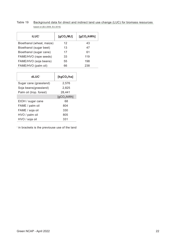<span id="page-21-0"></span>

| Table 19 | Background data for direct and indirect land use change (LUC) for biomass resources |
|----------|-------------------------------------------------------------------------------------|
|          | based on [EU 2009, EU 2015]                                                         |

| <b>iLUC*</b>              | [qCO <sub>2</sub> /MJ] | [gCO <sub>2</sub> /kWh] |
|---------------------------|------------------------|-------------------------|
| Bioethanol (wheat, maize) | 12                     | 43                      |
| Bioethanol (sugar beet)   | 13                     | 47                      |
| Bioethanol (sugar cane)   | 17                     | 61                      |
| FAME/HVO (rape seeds)     | 33                     | 119                     |
| FAME/HVO (soja beans)     | 55                     | 198                     |
| FAME/HVO (palm oil)       | 66                     | 238                     |

| dLUC <sup>*</sup>       | [kg $CO2/ha$ ]          |
|-------------------------|-------------------------|
| Sugar cane (grassland)  | 2,576                   |
| Soja beans(grassland)   | 2.825                   |
| Palm oil (trop. forest) | 28,441                  |
|                         | [gCO <sub>2</sub> /kWh] |
| EtOH / sugar cane       | 68                      |
| FAME / palm oil         | 804                     |
| FAME / soja oil         | 330                     |
| HVO / palm oil          | 805                     |
| HVO / soja oil          | 331                     |

\* in brackets is the previouse use of the land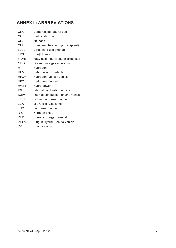# <span id="page-22-0"></span>**ANNEX II: ABBREVIATIONS**

| <b>CNG</b>       | Compressed natural gas               |
|------------------|--------------------------------------|
| CO <sub>2</sub>  | Carbon dioxide                       |
| CH <sub>4</sub>  | Methane                              |
| <b>CHP</b>       | Combined heat and power (plant)      |
| dLUC             | Direct land use change               |
| <b>EtOH</b>      | (Bio)Ethanol                         |
| <b>FAME</b>      | Fatty acid methyl esther (biodiesel) |
| <b>GHG</b>       | Greenhouse gas emissions             |
| H <sub>2</sub>   | Hydrogen                             |
| HEV              | Hybrid electric vehicle              |
| <b>HFCV</b>      | Hydrogen fuel cell vehicle           |
| <b>HFC</b>       | Hydrogen fuel cell                   |
| Hydro            | Hydro power                          |
| <b>ICE</b>       | Internal combustion engine           |
| <b>ICEV</b>      | Internal combustion engine vehicle   |
| <b>iLUC</b>      | Indirect land use change             |
| <b>LCA</b>       | Life Cycle Assessment                |
| LUC              | Land use change                      |
| N <sub>2</sub> O | Nitrogen oxide                       |
| <b>PED</b>       | <b>Primary Energy Demand</b>         |
| <b>PHEV</b>      | Plug-in Hybrid Electric Vehicle      |
| PV               | Photovoltaics                        |
|                  |                                      |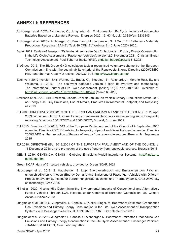# <span id="page-23-0"></span>**ANNEX III: REFERENCES**

- Aichberger et al. 2020: Aichberger, C.; Jungmeier, G. Environmental Life Cycle Impacts of Automotive Batteries Based on a Literature Review. Energies 2020, 13, 6345, doi:10.3390/en13236345.
- Aichberger et al. 2020a: Aichberger, C.; Beermann, M.; Jungmeier, G. LCA of EV Batteries Materials, Production, Recycling (IEA HEV Task 40 CRM<sub>4</sub>EV Webinar 2, 10 June 2020) 2020.
- Bauer 2022: Review of the report "Estimated Greenhouse Gas Emissions and Primary Energy Consumption in the Life Cycle Assessment of Passenger Vehicles", version 2.0, November 2021, Christian Bauer, Technology Assessment, Paul Scherrer Institut (PSI), [christian.bauer@psi.ch](mailto:christian.bauer%40psi.ch?subject=); 8.1.2021
- BioGrace 2015: The BioGrace GHG calculation tool: a recognised voluntary scheme by the European Commission in line with the sustainability criteria of the Renewable Energy Directive (2009/28/EC, RED) and the Fuel Quality Directive (2009/30/EC); <https://www.biograce.net/>
- Ecoinvent 2019 (version 3.4): Wernet, G., Bauer, C., Steubing, B., Reinhard, J., Moreno-Ruiz, E., and Weidema, B., 2016. The ecoinvent database version 3 (part I): overview and methodology. The International Journal of Life Cycle Assessment, [online] 21(9), pp.1218-1230. Available at: <http://link.springer.com/10.1007/s11367-016-1087-8>[March 6, 2019]
- Emilsson et al. 2019: Erik Emilsson, Lisbeth Dahllöf: Lithium-Ion Vehicle Battery Production: Status 2019 on Energy Use, CO<sub>2</sub> Emissions, Use of Metals, Products Environmental Footprint, and Recycling, ivl 2019
- EU 2009: DIRECTIVE 2009/28/EC OF THE EUROPEAN PARLIAMENT AND OF THE COUNCIL of 23 April 2009 on the promotion of the use of energy from renewable sources and amending and subsequently repealing Directives 2001/77/EC and 2003/30/EC, Brussel, 5. June 2009
- EU 2015: Directive (EU) 2015/1513 of the European Parliament and of the Council of 9 September 2015 amending Directive 98/70/EC relating to the quality of petrol and diesel fuels and amending Directive 2009/28/EC on the promotion of the use of energy from renewable sources, Brussel, 9. September 2015
- EU 2018: DIRECTIVE (EU) 2018/2001 OF THE EUROPEAN PARLIAMENT AND OF THE COUNCIL of 11 December 2018 on the promotion of the use of energy from renewable sources, Brussels 2018
- GEMIS 2019: GEMIS 5.0: GEMIS Globales Emissions-Modell integrierter Systeme, [http://iinas.org/](http://iinas.org/gemis-de.html) [gemis-de.html](http://iinas.org/gemis-de.html)
- Green NCAP: data of 61 tested vehicles, provided by Green NCAP, 2021
- Hausberger et al. 2018: S. Hausberger, S. Lipp: Energieverbrauch und Emissionen von PKW mit unterschiedlichen Antrieben (Energy Demand and Emissions of Passenger Vehicles with Different Propulsion Systems), Institut für Verbrennungskraftmaschinen und Thermodynamik, Graz University of Technology, Graz 2018
- Hill et al. 2020: Nicolas Hill: Determining the Environmental Impacts of Conventional and Alternatively Fuelled Vehicles Through LCA, Ricardo, under Contract of European Commission, DG Climate Action, Brussels 2020
- Jungmeier et al. 2019: G. Jungmeier, L. Canella, J. Pucker-Singer, M. Beermann: Estimated Greenhouse Gas Emissions and Primary Energy Consumption in the Life Cycle Assessment of Transportation Systems with Passenger Vehicles, JOANNEUM REPORT, Graz September 2019
- Jungmeier et al. 2022: G. Jungmeier, L. Canella, C. Aichberger, M. Beermann: Estimated Greenhouse Gas Emissions and Primary Energy Consumption in the Life Cycle Assessment of Passenger Vehicles, JOANNEUM REPORT, Graz February 2022